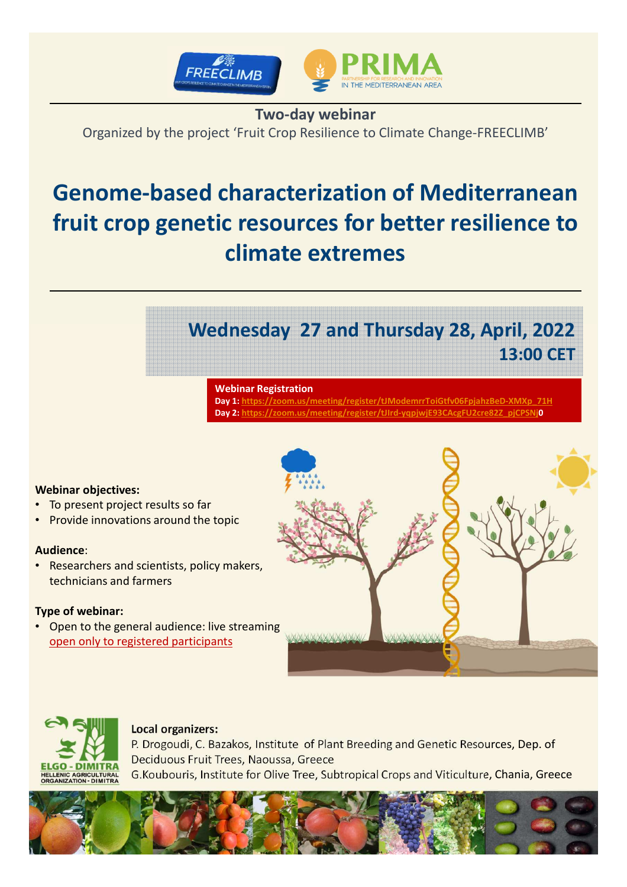

## **Two-day webinar**

Organized by the project 'Fruit Crop Resilience to Climate Change-FREECLIMB'

# **Genome-based characterization of Mediterranean fruit crop genetic resources for better resilience to climate extremes**

# **Wednesday 27 and Thursday 28, April, 2022 13:00 CET**

#### **Webinar Registration**

**Day 1: https://zoom.us/meeting/register/tJModemrrToiGtfv06FpjahzBeD-XMXp\_71H Day 2: https://zoom.us/meeting/register/tJIrd-yqpjwjE93CAcgFU2cre82Z\_pjCPSNj0**

#### **Webinar objectives:**

- To present project results so far
- Provide innovations around the topic

#### **Audience**:

• Researchers and scientists, policy makers, technicians and farmers

#### **Type of webinar:**

• Open to the general audience: live streaming open only to registered participants





### **Local organizers:**

P. Drogoudi, C. Bazakos, Institute of Plant Breeding and Genetic Resources, Dep. of Deciduous Fruit Trees, Naoussa, Greece G.Koubouris, Institute for Olive Tree, Subtropical Crops and Viticulture, Chania, Greece

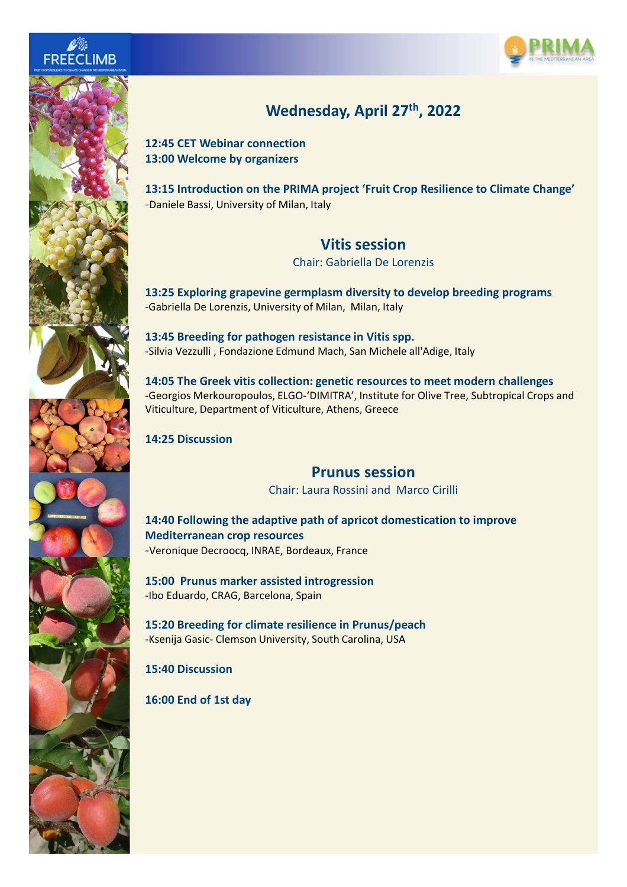





# **Wednesday, April 27th, 2022**

**12:45 CET Webinar connection 13:00 Welcome by organizers** 

**13:15 Introduction on the PRIMA project 'Fruit Crop Resilience to Climate Change'** -Daniele Bassi, University of Milan, Italy

### **Vitis session**

Chair: Gabriella De Lorenzis

**13:25 Exploring grapevine germplasm diversity to develop breeding programs** -Gabriella De Lorenzis, University of Milan, Milan, Italy

**13:45 Breeding for pathogen resistance in Vitis spp.**  -Silvia Vezzulli , Fondazione Edmund Mach, San Michele all'Adige, Italy

**14:05 The Greek vitis collection: genetic resources to meet modern challenges** -Georgios Merkouropoulos, ELGO-'DIMITRA', Institute for Olive Tree, Subtropical Crops and Viticulture, Department of Viticulture, Athens, Greece

### **14:25 Discussion**

### **Prunus session**

Chair: Laura Rossini and Marco Cirilli

**14:40 Following the adaptive path of apricot domestication to improve Mediterranean crop resources** -Veronique Decroocq, INRAE, Bordeaux, France

**15:00 Prunus marker assisted introgression** -Ibo Eduardo, CRAG, Barcelona, Spain

**15:20 Breeding for climate resilience in Prunus/peach** -Ksenija Gasic- Clemson University, South Carolina, USA

**15:40 Discussion**

**16:00 End of 1st day**